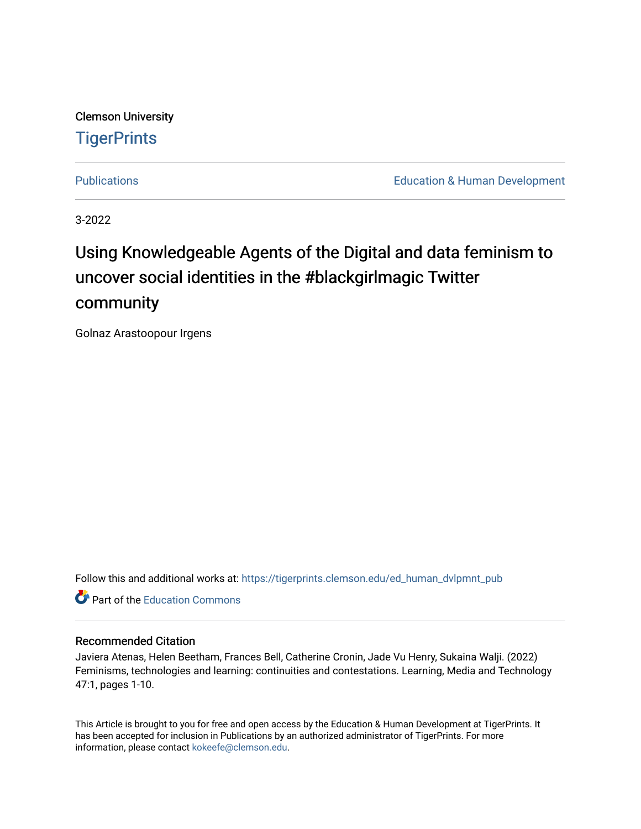Clemson University **TigerPrints** 

[Publications](https://tigerprints.clemson.edu/ed_human_dvlpmnt_pub) **Education & Human Development** 

3-2022

# Using Knowledgeable Agents of the Digital and data feminism to uncover social identities in the #blackgirlmagic Twitter community

Golnaz Arastoopour Irgens

Follow this and additional works at: [https://tigerprints.clemson.edu/ed\\_human\\_dvlpmnt\\_pub](https://tigerprints.clemson.edu/ed_human_dvlpmnt_pub?utm_source=tigerprints.clemson.edu%2Fed_human_dvlpmnt_pub%2F34&utm_medium=PDF&utm_campaign=PDFCoverPages) 

**C** Part of the [Education Commons](http://network.bepress.com/hgg/discipline/784?utm_source=tigerprints.clemson.edu%2Fed_human_dvlpmnt_pub%2F34&utm_medium=PDF&utm_campaign=PDFCoverPages)

#### Recommended Citation

Javiera Atenas, Helen Beetham, Frances Bell, Catherine Cronin, Jade Vu Henry, Sukaina Walji. (2022) Feminisms, technologies and learning: continuities and contestations. Learning, Media and Technology 47:1, pages 1-10.

This Article is brought to you for free and open access by the Education & Human Development at TigerPrints. It has been accepted for inclusion in Publications by an authorized administrator of TigerPrints. For more information, please contact [kokeefe@clemson.edu.](mailto:kokeefe@clemson.edu)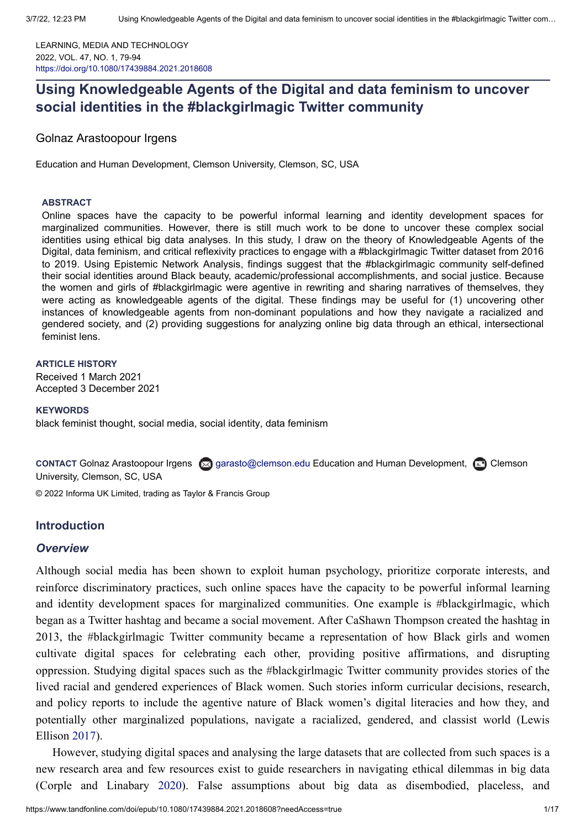LEARNING, MEDIA AND TECHNOLOGY 2022, VOL. 47, NO. 1, 79-94 <https://doi.org/10.1080/17439884.2021.2018608>

## **Using Knowledgeable Agents of the Digital and data feminism to uncover social identities in the #blackgirlmagic Twitter community**

Golnaz [Arastoopour Irgens](https://orcid.org/0000-0002-5308-3925)

Education and Human Development, Clemson University, Clemson, SC, USA

#### **ABSTRACT**

Online spaces have the capacity to be powerful informal learning and identity development spaces for marginalized communities. However, there is still much work to be done to uncover these complex social identities using ethical big data analyses. In this study, I draw on the theory of Knowledgeable Agents of the Digital, data feminism, and critical reflexivity practices to engage with a #blackgirlmagic Twitter dataset from 2016 to 2019. Using Epistemic Network Analysis, findings suggest that the #blackgirlmagic community self-defined their social identities around Black beauty, academic/professional accomplishments, and social justice. Because the women and girls of #blackgirlmagic were agentive in rewriting and sharing narratives of themselves, they were acting as knowledgeable agents of the digital. These findings may be useful for (1) uncovering other instances of knowledgeable agents from non-dominant populations and how they navigate a racialized and gendered society, and (2) providing suggestions for analyzing online big data through an ethical, intersectional feminist lens.

#### **ARTICLE HISTORY**

Received 1 March 2021 Accepted 3 December 2021

**KEYWORDS**

black feminist thought, social media, social identity, data feminism

**CONTACT** Golnaz Arastoopour Irgens  $\boxtimes$  [garasto@clemson.edu](mailto:garasto@clemson.edu) Education and Human Development,  $\boxdot$  Clemson University, Clemson, SC, USA

© 2022 Informa UK Limited, trading as Taylor & Francis Group

#### **Introduction**

#### *Overview*

Although social media has been shown to exploit human psychology, prioritize corporate interests, and reinforce discriminatory practices, such online spaces have the capacity to be powerful informal learning and identity development spaces for marginalized communities. One example is #blackgirlmagic, which began as a Twitter hashtag and became a social movement. After CaShawn Thompson created the hashtag in 2013, the #blackgirlmagic Twitter community became a representation of how Black girls and women cultivate digital spaces for celebrating each other, providing positive affirmations, and disrupting oppression. Studying digital spaces such as the #blackgirlmagic Twitter community provides stories of the lived racial and gendered experiences of Black women. Such stories inform curricular decisions, research, and policy reports to include the agentive nature of Black women's digital literacies and how they, and potentially other marginalized populations, navigate a racialized, gendered, and classist world (Lewis Ellison [2017](#page-16-0)).

However, studying digital spaces and analysing the large datasets that are collected from such spaces is a new research area and few resources exist to guide researchers in navigating ethical dilemmas in big data (Corple and Linabary [2020\)](#page-15-0). False assumptions about big data as disembodied, placeless, and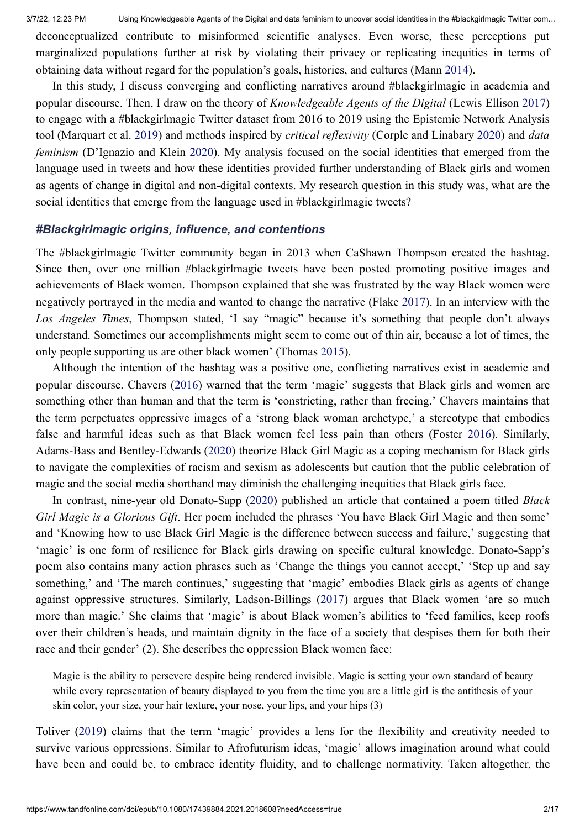deconceptualized contribute to misinformed scientific analyses. Even worse, these perceptions put marginalized populations further at risk by violating their privacy or replicating inequities in terms of obtaining data without regard for the population's goals, histories, and cultures (Mann [2014\)](#page-16-1).

In this study, I discuss converging and conflicting narratives around #blackgirlmagic in academia and popular discourse. Then, I draw on the theory of *Knowledgeable Agents of the Digital* (Lewis Ellison [2017](#page-16-0)) to engage with a #blackgirlmagic Twitter dataset from 2016 to 2019 using the Epistemic Network Analysis tool (Marquart et al. [2019\)](#page-16-2) and methods inspired by *critical reflexivity* (Corple and Linabary [2020](#page-15-0)) and *data feminism* (D'Ignazio and Klein [2020](#page-15-1)). My analysis focused on the social identities that emerged from the language used in tweets and how these identities provided further understanding of Black girls and women as agents of change in digital and non-digital contexts. My research question in this study was, what are the social identities that emerge from the language used in #blackgirlmagic tweets?

#### *#Blackgirlmagic origins, influence, and contentions*

The #blackgirlmagic Twitter community began in 2013 when CaShawn Thompson created the hashtag. Since then, over one million #blackgirlmagic tweets have been posted promoting positive images and achievements of Black women. Thompson explained that she was frustrated by the way Black women were negatively portrayed in the media and wanted to change the narrative (Flake [2017\)](#page-15-2). In an interview with the *Los Angeles Times*, Thompson stated, 'I say "magic" because it's something that people don't always understand. Sometimes our accomplishments might seem to come out of thin air, because a lot of times, the only people supporting us are other black women' (Thomas [2015](#page-16-3)).

Although the intention of the hashtag was a positive one, conflicting narratives exist in academic and popular discourse. Chavers ([2016\)](#page-15-3) warned that the term 'magic' suggests that Black girls and women are something other than human and that the term is 'constricting, rather than freeing.' Chavers maintains that the term perpetuates oppressive images of a 'strong black woman archetype,' a stereotype that embodies false and harmful ideas such as that Black women feel less pain than others (Foster [2016](#page-16-4)). Similarly, Adams-Bass and Bentley-Edwards [\(2020](#page-15-4)) theorize Black Girl Magic as a coping mechanism for Black girls to navigate the complexities of racism and sexism as adolescents but caution that the public celebration of magic and the social media shorthand may diminish the challenging inequities that Black girls face.

In contrast, nine-year old Donato-Sapp [\(2020](#page-15-5)) published an article that contained a poem titled *Black Girl Magic is a Glorious Gift*. Her poem included the phrases 'You have Black Girl Magic and then some' and 'Knowing how to use Black Girl Magic is the difference between success and failure,' suggesting that 'magic' is one form of resilience for Black girls drawing on specific cultural knowledge. Donato-Sapp's poem also contains many action phrases such as 'Change the things you cannot accept,' 'Step up and say something,' and 'The march continues,' suggesting that 'magic' embodies Black girls as agents of change against oppressive structures. Similarly, Ladson-Billings [\(2017](#page-16-5)) argues that Black women 'are so much more than magic.' She claims that 'magic' is about Black women's abilities to 'feed families, keep roofs over their children's heads, and maintain dignity in the face of a society that despises them for both their race and their gender' (2). She describes the oppression Black women face:

Magic is the ability to persevere despite being rendered invisible. Magic is setting your own standard of beauty while every representation of beauty displayed to you from the time you are a little girl is the antithesis of your skin color, your size, your hair texture, your nose, your lips, and your hips (3)

Toliver [\(2019](#page-17-0)) claims that the term 'magic' provides a lens for the flexibility and creativity needed to survive various oppressions. Similar to Afrofuturism ideas, 'magic' allows imagination around what could have been and could be, to embrace identity fluidity, and to challenge normativity. Taken altogether, the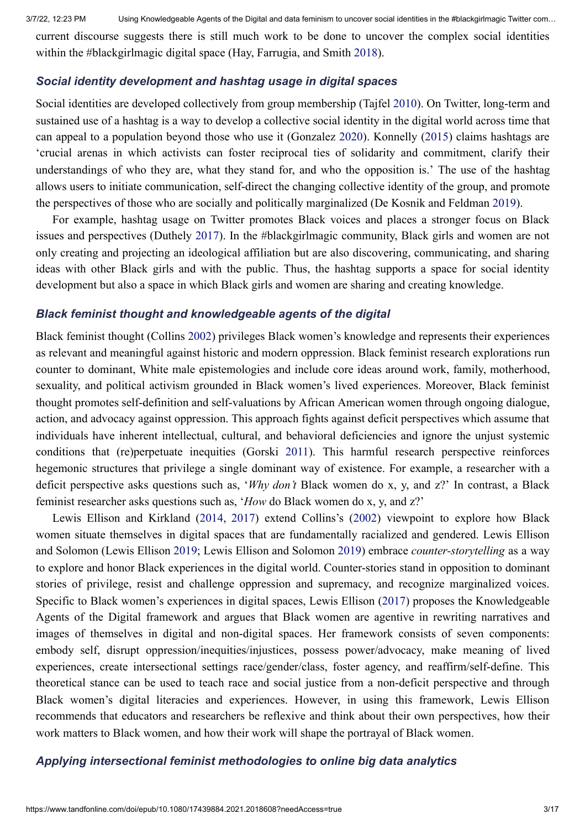current discourse suggests there is still much work to be done to uncover the complex social identities within the #blackgirlmagic digital space (Hay, Farrugia, and Smith [2018](#page-16-6)).

#### *Social identity development and hashtag usage in digital spaces*

Social identities are developed collectively from group membership (Tajfel [2010](#page-16-7)). On Twitter, long-term and sustained use of a hashtag is a way to develop a collective social identity in the digital world across time that can appeal to a population beyond those who use it (Gonzalez [2020](#page-16-8)). Konnelly ([2015\)](#page-16-9) claims hashtags are 'crucial arenas in which activists can foster reciprocal ties of solidarity and commitment, clarify their understandings of who they are, what they stand for, and who the opposition is.' The use of the hashtag allows users to initiate communication, self-direct the changing collective identity of the group, and promote the perspectives of those who are socially and politically marginalized (De Kosnik and Feldman [2019](#page-15-6)).

For example, hashtag usage on Twitter promotes Black voices and places a stronger focus on Black issues and perspectives (Duthely [2017\)](#page-15-7). In the #blackgirlmagic community, Black girls and women are not only creating and projecting an ideological affiliation but are also discovering, communicating, and sharing ideas with other Black girls and with the public. Thus, the hashtag supports a space for social identity development but also a space in which Black girls and women are sharing and creating knowledge.

#### *Black feminist thought and knowledgeable agents of the digital*

Black feminist thought (Collins [2002](#page-15-8)) privileges Black women's knowledge and represents their experiences as relevant and meaningful against historic and modern oppression. Black feminist research explorations run counter to dominant, White male epistemologies and include core ideas around work, family, motherhood, sexuality, and political activism grounded in Black women's lived experiences. Moreover, Black feminist thought promotes self-definition and self-valuations by African American women through ongoing dialogue, action, and advocacy against oppression. This approach fights against deficit perspectives which assume that individuals have inherent intellectual, cultural, and behavioral deficiencies and ignore the unjust systemic conditions that (re)perpetuate inequities (Gorski [2011](#page-16-10)). This harmful research perspective reinforces hegemonic structures that privilege a single dominant way of existence. For example, a researcher with a deficit perspective asks questions such as, '*Why don't* Black women do x, y, and z?' In contrast, a Black feminist researcher asks questions such as, '*How* do Black women do x, y, and z?'

Lewis Ellison and Kirkland [\(2014](#page-16-11), [2017](#page-16-0)) extend Collins's [\(2002](#page-15-8)) viewpoint to explore how Black women situate themselves in digital spaces that are fundamentally racialized and gendered. Lewis Ellison and Solomon (Lewis Ellison [2019;](#page-16-12) Lewis Ellison and Solomon [2019](#page-16-13)) embrace *counter-storytelling* as a way to explore and honor Black experiences in the digital world. Counter-stories stand in opposition to dominant stories of privilege, resist and challenge oppression and supremacy, and recognize marginalized voices. Specific to Black women's experiences in digital spaces, Lewis Ellison [\(2017](#page-16-0)) proposes the Knowledgeable Agents of the Digital framework and argues that Black women are agentive in rewriting narratives and images of themselves in digital and non-digital spaces. Her framework consists of seven components: embody self, disrupt oppression/inequities/injustices, possess power/advocacy, make meaning of lived experiences, create intersectional settings race/gender/class, foster agency, and reaffirm/self-define. This theoretical stance can be used to teach race and social justice from a non-deficit perspective and through Black women's digital literacies and experiences. However, in using this framework, Lewis Ellison recommends that educators and researchers be reflexive and think about their own perspectives, how their work matters to Black women, and how their work will shape the portrayal of Black women.

### *Applying intersectional feminist methodologies to online big data analytics*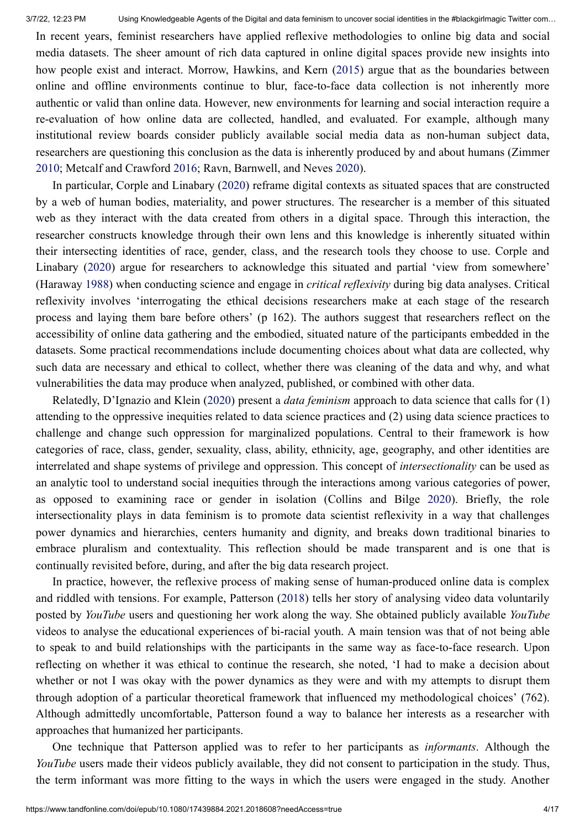In recent years, feminist researchers have applied reflexive methodologies to online big data and social media datasets. The sheer amount of rich data captured in online digital spaces provide new insights into how people exist and interact. Morrow, Hawkins, and Kern [\(2015](#page-16-14)) argue that as the boundaries between online and offline environments continue to blur, face-to-face data collection is not inherently more authentic or valid than online data. However, new environments for learning and social interaction require a re-evaluation of how online data are collected, handled, and evaluated. For example, although many institutional review boards consider publicly available social media data as non-human subject data, researchers are questioning this conclusion as the data is inherently produced by and about humans (Zimmer [2010;](#page-17-1) Metcalf and Crawford [2016;](#page-16-15) Ravn, Barnwell, and Neves [2020\)](#page-16-16).

In particular, Corple and Linabary ([2020\)](#page-15-0) reframe digital contexts as situated spaces that are constructed by a web of human bodies, materiality, and power structures. The researcher is a member of this situated web as they interact with the data created from others in a digital space. Through this interaction, the researcher constructs knowledge through their own lens and this knowledge is inherently situated within their intersecting identities of race, gender, class, and the research tools they choose to use. Corple and Linabary [\(2020](#page-15-0)) argue for researchers to acknowledge this situated and partial 'view from somewhere' (Haraway [1988\)](#page-16-17) when conducting science and engage in *critical reflexivity* during big data analyses. Critical reflexivity involves 'interrogating the ethical decisions researchers make at each stage of the research process and laying them bare before others' (p 162). The authors suggest that researchers reflect on the accessibility of online data gathering and the embodied, situated nature of the participants embedded in the datasets. Some practical recommendations include documenting choices about what data are collected, why such data are necessary and ethical to collect, whether there was cleaning of the data and why, and what vulnerabilities the data may produce when analyzed, published, or combined with other data.

Relatedly, D'Ignazio and Klein ([2020\)](#page-15-1) present a *data feminism* approach to data science that calls for (1) attending to the oppressive inequities related to data science practices and (2) using data science practices to challenge and change such oppression for marginalized populations. Central to their framework is how categories of race, class, gender, sexuality, class, ability, ethnicity, age, geography, and other identities are interrelated and shape systems of privilege and oppression. This concept of *intersectionality* can be used as an analytic tool to understand social inequities through the interactions among various categories of power, as opposed to examining race or gender in isolation (Collins and Bilge [2020\)](#page-15-9). Briefly, the role intersectionality plays in data feminism is to promote data scientist reflexivity in a way that challenges power dynamics and hierarchies, centers humanity and dignity, and breaks down traditional binaries to embrace pluralism and contextuality. This reflection should be made transparent and is one that is continually revisited before, during, and after the big data research project.

In practice, however, the reflexive process of making sense of human-produced online data is complex and riddled with tensions. For example, Patterson [\(2018](#page-16-18)) tells her story of analysing video data voluntarily posted by *YouTube* users and questioning her work along the way. She obtained publicly available *YouTube* videos to analyse the educational experiences of bi-racial youth. A main tension was that of not being able to speak to and build relationships with the participants in the same way as face-to-face research. Upon reflecting on whether it was ethical to continue the research, she noted, 'I had to make a decision about whether or not I was okay with the power dynamics as they were and with my attempts to disrupt them through adoption of a particular theoretical framework that influenced my methodological choices' (762). Although admittedly uncomfortable, Patterson found a way to balance her interests as a researcher with approaches that humanized her participants.

One technique that Patterson applied was to refer to her participants as *informants*. Although the *YouTube* users made their videos publicly available, they did not consent to participation in the study. Thus, the term informant was more fitting to the ways in which the users were engaged in the study. Another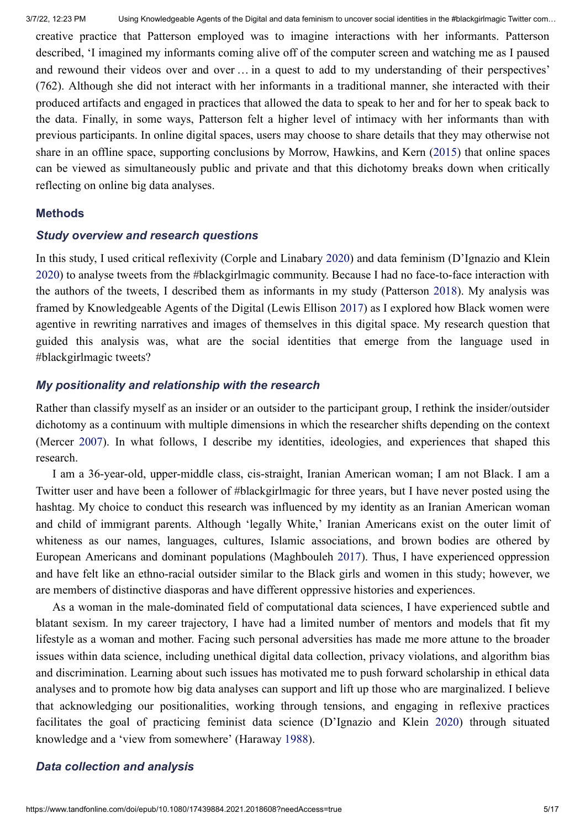creative practice that Patterson employed was to imagine interactions with her informants. Patterson described, 'I imagined my informants coming alive off of the computer screen and watching me as I paused and rewound their videos over and over … in a quest to add to my understanding of their perspectives' (762). Although she did not interact with her informants in a traditional manner, she interacted with their produced artifacts and engaged in practices that allowed the data to speak to her and for her to speak back to the data. Finally, in some ways, Patterson felt a higher level of intimacy with her informants than with previous participants. In online digital spaces, users may choose to share details that they may otherwise not share in an offline space, supporting conclusions by Morrow, Hawkins, and Kern ([2015\)](#page-16-14) that online spaces can be viewed as simultaneously public and private and that this dichotomy breaks down when critically reflecting on online big data analyses.

#### **Methods**

#### *Study overview and research questions*

In this study, I used critical reflexivity (Corple and Linabary [2020\)](#page-15-0) and data feminism (D'Ignazio and Klein [2020\)](#page-15-1) to analyse tweets from the #blackgirlmagic community. Because I had no face-to-face interaction with the authors of the tweets, I described them as informants in my study (Patterson [2018](#page-16-18)). My analysis was framed by Knowledgeable Agents of the Digital (Lewis Ellison [2017\)](#page-16-0) as I explored how Black women were agentive in rewriting narratives and images of themselves in this digital space. My research question that guided this analysis was, what are the social identities that emerge from the language used in #blackgirlmagic tweets?

#### *My positionality and relationship with the research*

Rather than classify myself as an insider or an outsider to the participant group, I rethink the insider/outsider dichotomy as a continuum with multiple dimensions in which the researcher shifts depending on the context (Mercer [2007\)](#page-16-19). In what follows, I describe my identities, ideologies, and experiences that shaped this research.

I am a 36-year-old, upper-middle class, cis-straight, Iranian American woman; I am not Black. I am a Twitter user and have been a follower of #blackgirlmagic for three years, but I have never posted using the hashtag. My choice to conduct this research was influenced by my identity as an Iranian American woman and child of immigrant parents. Although 'legally White,' Iranian Americans exist on the outer limit of whiteness as our names, languages, cultures, Islamic associations, and brown bodies are othered by European Americans and dominant populations (Maghbouleh [2017](#page-16-20)). Thus, I have experienced oppression and have felt like an ethno-racial outsider similar to the Black girls and women in this study; however, we are members of distinctive diasporas and have different oppressive histories and experiences.

As a woman in the male-dominated field of computational data sciences, I have experienced subtle and blatant sexism. In my career trajectory, I have had a limited number of mentors and models that fit my lifestyle as a woman and mother. Facing such personal adversities has made me more attune to the broader issues within data science, including unethical digital data collection, privacy violations, and algorithm bias and discrimination. Learning about such issues has motivated me to push forward scholarship in ethical data analyses and to promote how big data analyses can support and lift up those who are marginalized. I believe that acknowledging our positionalities, working through tensions, and engaging in reflexive practices facilitates the goal of practicing feminist data science (D'Ignazio and Klein [2020\)](#page-15-1) through situated knowledge and a 'view from somewhere' (Haraway [1988](#page-16-17)).

#### *Data collection and analysis*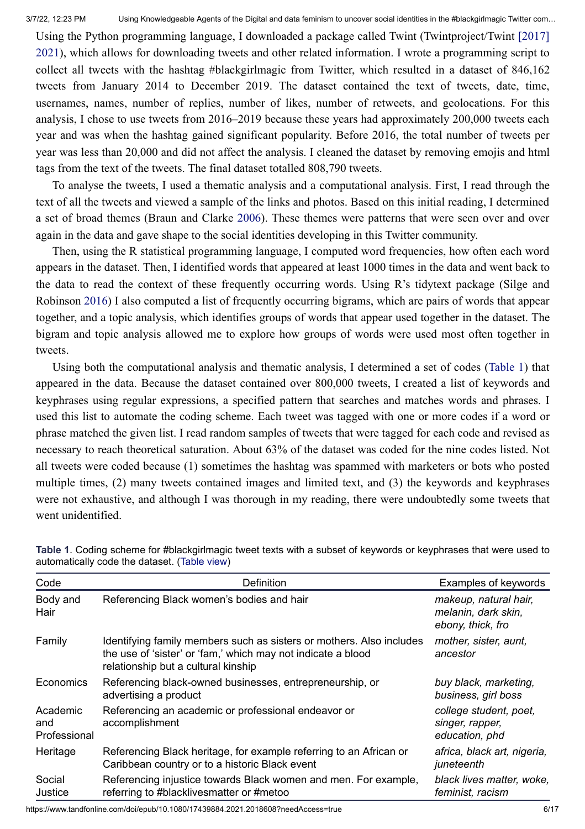[Using the Python programming language, I downloaded a package called Twint \(Twintproject/Twint \[2017\]](#page-17-2) 2021), which allows for downloading tweets and other related information. I wrote a programming script to collect all tweets with the hashtag #blackgirlmagic from Twitter, which resulted in a dataset of 846,162 tweets from January 2014 to December 2019. The dataset contained the text of tweets, date, time, usernames, names, number of replies, number of likes, number of retweets, and geolocations. For this analysis, I chose to use tweets from 2016–2019 because these years had approximately 200,000 tweets each year and was when the hashtag gained significant popularity. Before 2016, the total number of tweets per year was less than 20,000 and did not affect the analysis. I cleaned the dataset by removing emojis and html tags from the text of the tweets. The final dataset totalled 808,790 tweets.

To analyse the tweets, I used a thematic analysis and a computational analysis. First, I read through the text of all the tweets and viewed a sample of the links and photos. Based on this initial reading, I determined a set of broad themes (Braun and Clarke [2006](#page-15-10)). These themes were patterns that were seen over and over again in the data and gave shape to the social identities developing in this Twitter community.

Then, using the R statistical programming language, I computed word frequencies, how often each word appears in the dataset. Then, I identified words that appeared at least 1000 times in the data and went back to the data to read the context of these frequently occurring words. Using R's tidytext package (Silge and Robinson [2016](#page-16-21)) I also computed a list of frequently occurring bigrams, which are pairs of words that appear together, and a topic analysis, which identifies groups of words that appear used together in the dataset. The bigram and topic analysis allowed me to explore how groups of words were used most often together in tweets.

Using both the computational analysis and thematic analysis, I determined a set of codes ([Table 1](https://www.tandfonline.com/reader/content/17f67731575/10.1080/17439884.2021.2018608/format/epub/EPUB/xhtml/t0001.xhtml)) that appeared in the data. Because the dataset contained over 800,000 tweets, I created a list of keywords and keyphrases using regular expressions, a specified pattern that searches and matches words and phrases. I used this list to automate the coding scheme. Each tweet was tagged with one or more codes if a word or phrase matched the given list. I read random samples of tweets that were tagged for each code and revised as necessary to reach theoretical saturation. About 63% of the dataset was coded for the nine codes listed. Not all tweets were coded because (1) sometimes the hashtag was spammed with marketers or bots who posted multiple times, (2) many tweets contained images and limited text, and (3) the keywords and keyphrases were not exhaustive, and although I was thorough in my reading, there were undoubtedly some tweets that went unidentified.

| Code                            | Definition                                                                                                                                                                  | Examples of keywords                                              |
|---------------------------------|-----------------------------------------------------------------------------------------------------------------------------------------------------------------------------|-------------------------------------------------------------------|
| Body and<br>Hair                | Referencing Black women's bodies and hair                                                                                                                                   | makeup, natural hair,<br>melanin, dark skin,<br>ebony, thick, fro |
| Family                          | Identifying family members such as sisters or mothers. Also includes<br>the use of 'sister' or 'fam,' which may not indicate a blood<br>relationship but a cultural kinship | mother, sister, aunt,<br>ancestor                                 |
| Economics                       | Referencing black-owned businesses, entrepreneurship, or<br>advertising a product                                                                                           | buy black, marketing,<br>business, girl boss                      |
| Academic<br>and<br>Professional | Referencing an academic or professional endeavor or<br>accomplishment                                                                                                       | college student, poet,<br>singer, rapper,<br>education, phd       |
| Heritage                        | Referencing Black heritage, for example referring to an African or<br>Caribbean country or to a historic Black event                                                        | africa, black art, nigeria,<br>juneteenth                         |
| Social<br>Justice               | Referencing injustice towards Black women and men. For example,<br>referring to #blacklivesmatter or #metoo                                                                 | black lives matter, woke,<br>feminist, racism                     |

**Table 1**. Coding scheme for #blackgirlmagic tweet texts with a subset of keywords or keyphrases that were used to automatically code the dataset. ([Table](https://www.tandfonline.com/reader/content/17f67731575/10.1080/17439884.2021.2018608/format/epub/EPUB/xhtml/t0001.xhtml) view)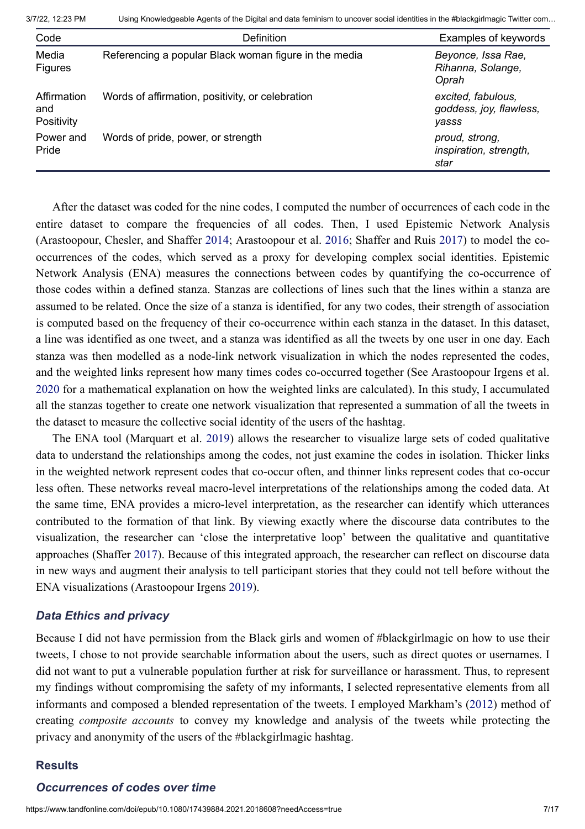| Code                             | <b>Definition</b>                                     | Examples of keywords                                   |
|----------------------------------|-------------------------------------------------------|--------------------------------------------------------|
| Media<br><b>Figures</b>          | Referencing a popular Black woman figure in the media | Beyonce, Issa Rae,<br>Rihanna, Solange,<br>Oprah       |
| Affirmation<br>and<br>Positivity | Words of affirmation, positivity, or celebration      | excited, fabulous,<br>goddess, joy, flawless,<br>yasss |
| Power and<br>Pride               | Words of pride, power, or strength                    | proud, strong,<br>inspiration, strength,<br>star       |

After the dataset was coded for the nine codes, I computed the number of occurrences of each code in the entire dataset to compare the frequencies of all codes. Then, I used Epistemic Network Analysis (Arastoopour, Chesler, and Shaffer [2014;](#page-15-11) Arastoopour et al. [2016;](#page-15-12) Shaffer and Ruis [2017\)](#page-16-22) to model the cooccurrences of the codes, which served as a proxy for developing complex social identities. Epistemic Network Analysis (ENA) measures the connections between codes by quantifying the co-occurrence of those codes within a defined stanza. Stanzas are collections of lines such that the lines within a stanza are assumed to be related. Once the size of a stanza is identified, for any two codes, their strength of association is computed based on the frequency of their co-occurrence within each stanza in the dataset. In this dataset, a line was identified as one tweet, and a stanza was identified as all the tweets by one user in one day. Each stanza was then modelled as a node-link network visualization in which the nodes represented the codes, and the weighted links represent how many times codes co-occurred together (See Arastoopour Irgens et al. [2020](#page-15-13) for a mathematical explanation on how the weighted links are calculated). In this study, I accumulated all the stanzas together to create one network visualization that represented a summation of all the tweets in the dataset to measure the collective social identity of the users of the hashtag.

The ENA tool (Marquart et al. [2019\)](#page-16-2) allows the researcher to visualize large sets of coded qualitative data to understand the relationships among the codes, not just examine the codes in isolation. Thicker links in the weighted network represent codes that co-occur often, and thinner links represent codes that co-occur less often. These networks reveal macro-level interpretations of the relationships among the coded data. At the same time, ENA provides a micro-level interpretation, as the researcher can identify which utterances contributed to the formation of that link. By viewing exactly where the discourse data contributes to the visualization, the researcher can 'close the interpretative loop' between the qualitative and quantitative approaches (Shaffer [2017](#page-16-23)). Because of this integrated approach, the researcher can reflect on discourse data in new ways and augment their analysis to tell participant stories that they could not tell before without the ENA visualizations (Arastoopour Irgens [2019](#page-15-14)).

#### *Data Ethics and privacy*

Because I did not have permission from the Black girls and women of #blackgirlmagic on how to use their tweets, I chose to not provide searchable information about the users, such as direct quotes or usernames. I did not want to put a vulnerable population further at risk for surveillance or harassment. Thus, to represent my findings without compromising the safety of my informants, I selected representative elements from all informants and composed a blended representation of the tweets. I employed Markham's ([2012\)](#page-16-24) method of creating *composite accounts* to convey my knowledge and analysis of the tweets while protecting the privacy and anonymity of the users of the #blackgirlmagic hashtag.

#### **Results**

#### *Occurrences of codes over time*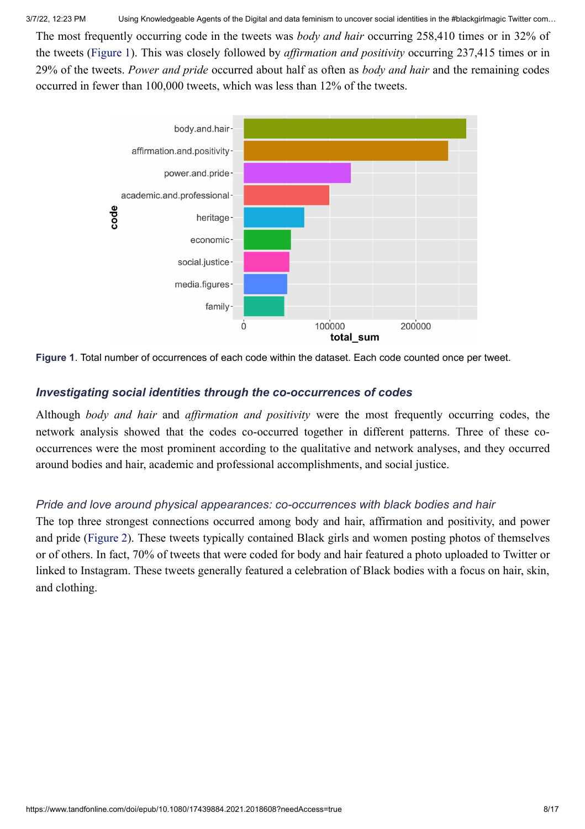3/7/22, 12:23 PM Using Knowledgeable Agents of the Digital and data feminism to uncover social identities in the #blackgirlmagic Twitter com…

The most frequently occurring code in the tweets was *body and hair* occurring 258,410 times or in 32% of the tweets ([Figure 1\)](https://www.tandfonline.com/reader/content/17f67731575/10.1080/17439884.2021.2018608/format/epub/EPUB/xhtml/f0001.xhtml). This was closely followed by *affirmation and positivity* occurring 237,415 times or in 29% of the tweets. *Power and pride* occurred about half as often as *body and hair* and the remaining codes occurred in fewer than 100,000 tweets, which was less than 12% of the tweets.



**Figure 1**. Total number of occurrences of each code within the dataset. Each code counted once per tweet.

## *Investigating social identities through the co-occurrences of codes*

Although *body and hair* and *affirmation and positivity* were the most frequently occurring codes, the network analysis showed that the codes co-occurred together in different patterns. Three of these cooccurrences were the most prominent according to the qualitative and network analyses, and they occurred around bodies and hair, academic and professional accomplishments, and social justice.

## *Pride and love around physical appearances: co-occurrences with black bodies and hair*

The top three strongest connections occurred among body and hair, affirmation and positivity, and power and pride [\(Figure 2\)](https://www.tandfonline.com/reader/content/17f67731575/10.1080/17439884.2021.2018608/format/epub/EPUB/xhtml/f0002.xhtml). These tweets typically contained Black girls and women posting photos of themselves or of others. In fact, 70% of tweets that were coded for body and hair featured a photo uploaded to Twitter or linked to Instagram. These tweets generally featured a celebration of Black bodies with a focus on hair, skin, and clothing.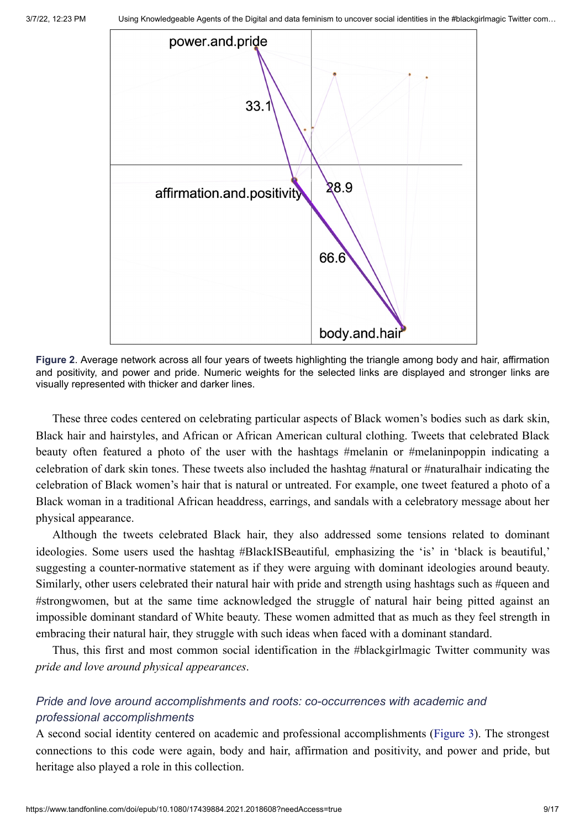

**Figure 2**. Average network across all four years of tweets highlighting the triangle among body and hair, affirmation and positivity, and power and pride. Numeric weights for the selected links are displayed and stronger links are visually represented with thicker and darker lines.

These three codes centered on celebrating particular aspects of Black women's bodies such as dark skin, Black hair and hairstyles, and African or African American cultural clothing. Tweets that celebrated Black beauty often featured a photo of the user with the hashtags #melanin or #melaninpoppin indicating a celebration of dark skin tones. These tweets also included the hashtag #natural or #naturalhair indicating the celebration of Black women's hair that is natural or untreated. For example, one tweet featured a photo of a Black woman in a traditional African headdress, earrings, and sandals with a celebratory message about her physical appearance.

Although the tweets celebrated Black hair, they also addressed some tensions related to dominant ideologies. Some users used the hashtag #BlackISBeautiful*,* emphasizing the 'is' in 'black is beautiful,' suggesting a counter-normative statement as if they were arguing with dominant ideologies around beauty. Similarly, other users celebrated their natural hair with pride and strength using hashtags such as #queen and #strongwomen, but at the same time acknowledged the struggle of natural hair being pitted against an impossible dominant standard of White beauty. These women admitted that as much as they feel strength in embracing their natural hair, they struggle with such ideas when faced with a dominant standard.

Thus, this first and most common social identification in the #blackgirlmagic Twitter community was *pride and love around physical appearances*.

## *Pride and love around accomplishments and roots: co-occurrences with academic and professional accomplishments*

A second social identity centered on academic and professional accomplishments [\(Figure 3](https://www.tandfonline.com/reader/content/17f67731575/10.1080/17439884.2021.2018608/format/epub/EPUB/xhtml/f0003.xhtml)). The strongest connections to this code were again, body and hair, affirmation and positivity, and power and pride, but heritage also played a role in this collection.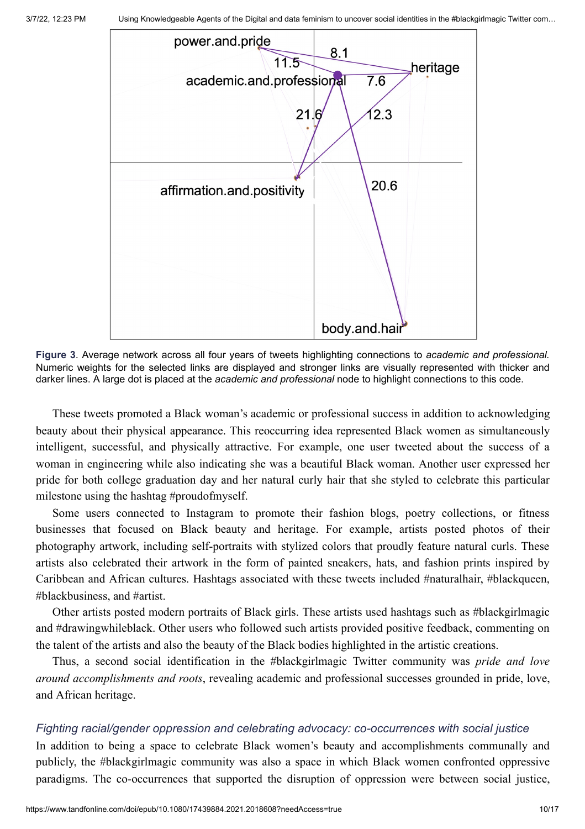

**Figure 3**. Average network across all four years of tweets highlighting connections to *academic and professional.* Numeric weights for the selected links are displayed and stronger links are visually represented with thicker and darker lines. A large dot is placed at the *academic and professional* node to highlight connections to this code.

These tweets promoted a Black woman's academic or professional success in addition to acknowledging beauty about their physical appearance. This reoccurring idea represented Black women as simultaneously intelligent, successful, and physically attractive. For example, one user tweeted about the success of a woman in engineering while also indicating she was a beautiful Black woman. Another user expressed her pride for both college graduation day and her natural curly hair that she styled to celebrate this particular milestone using the hashtag #proudofmyself.

Some users connected to Instagram to promote their fashion blogs, poetry collections, or fitness businesses that focused on Black beauty and heritage. For example, artists posted photos of their photography artwork, including self-portraits with stylized colors that proudly feature natural curls. These artists also celebrated their artwork in the form of painted sneakers, hats, and fashion prints inspired by Caribbean and African cultures. Hashtags associated with these tweets included #naturalhair, #blackqueen, #blackbusiness, and #artist.

Other artists posted modern portraits of Black girls. These artists used hashtags such as #blackgirlmagic and #drawingwhileblack. Other users who followed such artists provided positive feedback, commenting on the talent of the artists and also the beauty of the Black bodies highlighted in the artistic creations.

Thus, a second social identification in the #blackgirlmagic Twitter community was *pride and love around accomplishments and roots*, revealing academic and professional successes grounded in pride, love, and African heritage.

#### *Fighting racial/gender oppression and celebrating advocacy: co-occurrences with social justice*

In addition to being a space to celebrate Black women's beauty and accomplishments communally and publicly, the #blackgirlmagic community was also a space in which Black women confronted oppressive paradigms. The co-occurrences that supported the disruption of oppression were between social justice,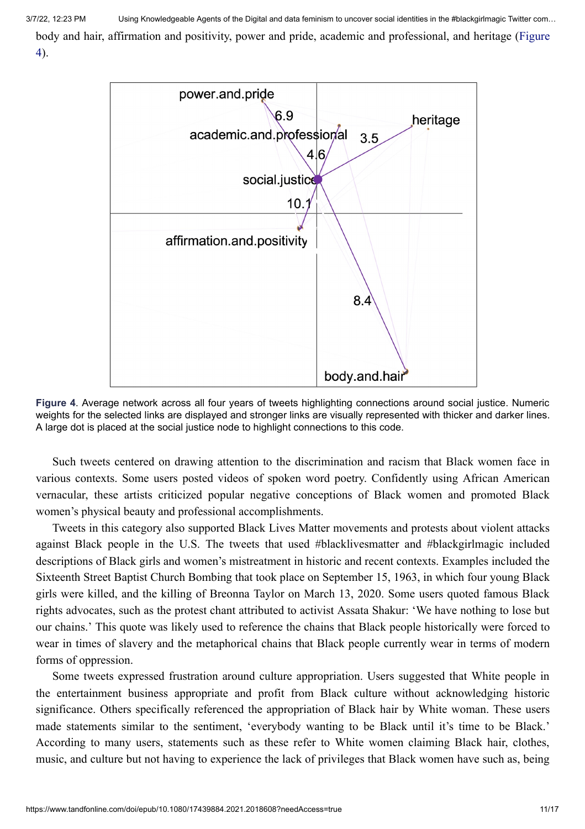[body and hair, affirmation and positivity, power and pride, academic and professional, and heritage \(Figure](https://www.tandfonline.com/reader/content/17f67731575/10.1080/17439884.2021.2018608/format/epub/EPUB/xhtml/f0004.xhtml) 4).



**Figure 4**. Average network across all four years of tweets highlighting connections around social justice. Numeric weights for the selected links are displayed and stronger links are visually represented with thicker and darker lines. A large dot is placed at the social justice node to highlight connections to this code.

Such tweets centered on drawing attention to the discrimination and racism that Black women face in various contexts. Some users posted videos of spoken word poetry. Confidently using African American vernacular, these artists criticized popular negative conceptions of Black women and promoted Black women's physical beauty and professional accomplishments.

Tweets in this category also supported Black Lives Matter movements and protests about violent attacks against Black people in the U.S. The tweets that used #blacklivesmatter and #blackgirlmagic included descriptions of Black girls and women's mistreatment in historic and recent contexts. Examples included the Sixteenth Street Baptist Church Bombing that took place on September 15, 1963, in which four young Black girls were killed, and the killing of Breonna Taylor on March 13, 2020. Some users quoted famous Black rights advocates, such as the protest chant attributed to activist Assata Shakur: 'We have nothing to lose but our chains.' This quote was likely used to reference the chains that Black people historically were forced to wear in times of slavery and the metaphorical chains that Black people currently wear in terms of modern forms of oppression.

Some tweets expressed frustration around culture appropriation. Users suggested that White people in the entertainment business appropriate and profit from Black culture without acknowledging historic significance. Others specifically referenced the appropriation of Black hair by White woman. These users made statements similar to the sentiment, 'everybody wanting to be Black until it's time to be Black.' According to many users, statements such as these refer to White women claiming Black hair, clothes, music, and culture but not having to experience the lack of privileges that Black women have such as, being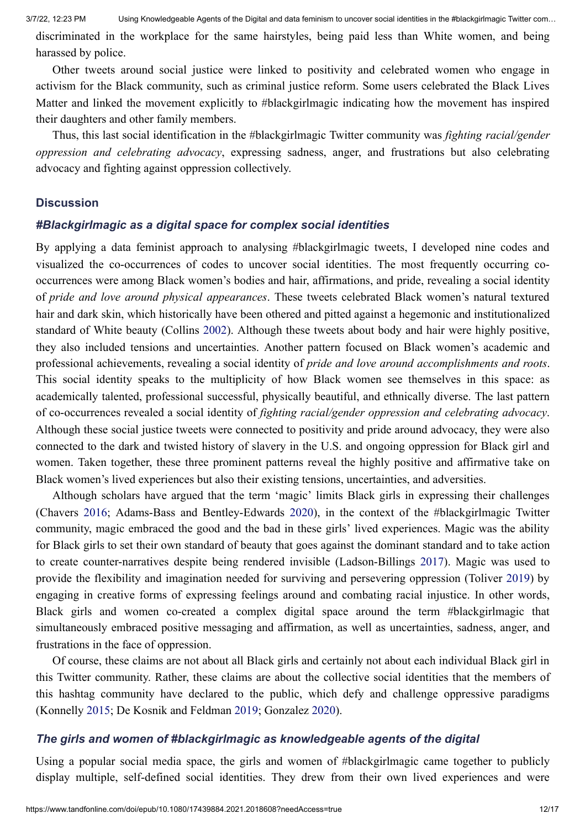discriminated in the workplace for the same hairstyles, being paid less than White women, and being harassed by police.

Other tweets around social justice were linked to positivity and celebrated women who engage in activism for the Black community, such as criminal justice reform. Some users celebrated the Black Lives Matter and linked the movement explicitly to #blackgirlmagic indicating how the movement has inspired their daughters and other family members.

Thus, this last social identification in the #blackgirlmagic Twitter community was *fighting racial/gender oppression and celebrating advocacy*, expressing sadness, anger, and frustrations but also celebrating advocacy and fighting against oppression collectively.

#### **Discussion**

#### *#Blackgirlmagic as a digital space for complex social identities*

By applying a data feminist approach to analysing #blackgirlmagic tweets, I developed nine codes and visualized the co-occurrences of codes to uncover social identities. The most frequently occurring cooccurrences were among Black women's bodies and hair, affirmations, and pride, revealing a social identity of *pride and love around physical appearances*. These tweets celebrated Black women's natural textured hair and dark skin, which historically have been othered and pitted against a hegemonic and institutionalized standard of White beauty (Collins [2002\)](#page-15-8). Although these tweets about body and hair were highly positive, they also included tensions and uncertainties. Another pattern focused on Black women's academic and professional achievements, revealing a social identity of *pride and love around accomplishments and roots*. This social identity speaks to the multiplicity of how Black women see themselves in this space: as academically talented, professional successful, physically beautiful, and ethnically diverse. The last pattern of co-occurrences revealed a social identity of *fighting racial/gender oppression and celebrating advocacy*. Although these social justice tweets were connected to positivity and pride around advocacy, they were also connected to the dark and twisted history of slavery in the U.S. and ongoing oppression for Black girl and women. Taken together, these three prominent patterns reveal the highly positive and affirmative take on Black women's lived experiences but also their existing tensions, uncertainties, and adversities.

Although scholars have argued that the term 'magic' limits Black girls in expressing their challenges (Chavers [2016](#page-15-3); Adams-Bass and Bentley-Edwards [2020\)](#page-15-4), in the context of the #blackgirlmagic Twitter community, magic embraced the good and the bad in these girls' lived experiences. Magic was the ability for Black girls to set their own standard of beauty that goes against the dominant standard and to take action to create counter-narratives despite being rendered invisible (Ladson-Billings [2017](#page-16-5)). Magic was used to provide the flexibility and imagination needed for surviving and persevering oppression (Toliver [2019](#page-17-0)) by engaging in creative forms of expressing feelings around and combating racial injustice. In other words, Black girls and women co-created a complex digital space around the term #blackgirlmagic that simultaneously embraced positive messaging and affirmation, as well as uncertainties, sadness, anger, and frustrations in the face of oppression.

Of course, these claims are not about all Black girls and certainly not about each individual Black girl in this Twitter community. Rather, these claims are about the collective social identities that the members of this hashtag community have declared to the public, which defy and challenge oppressive paradigms (Konnelly [2015](#page-16-9); De Kosnik and Feldman [2019](#page-15-6); Gonzalez [2020](#page-16-8)).

#### *The girls and women of #blackgirlmagic as knowledgeable agents of the digital*

Using a popular social media space, the girls and women of #blackgirlmagic came together to publicly display multiple, self-defined social identities. They drew from their own lived experiences and were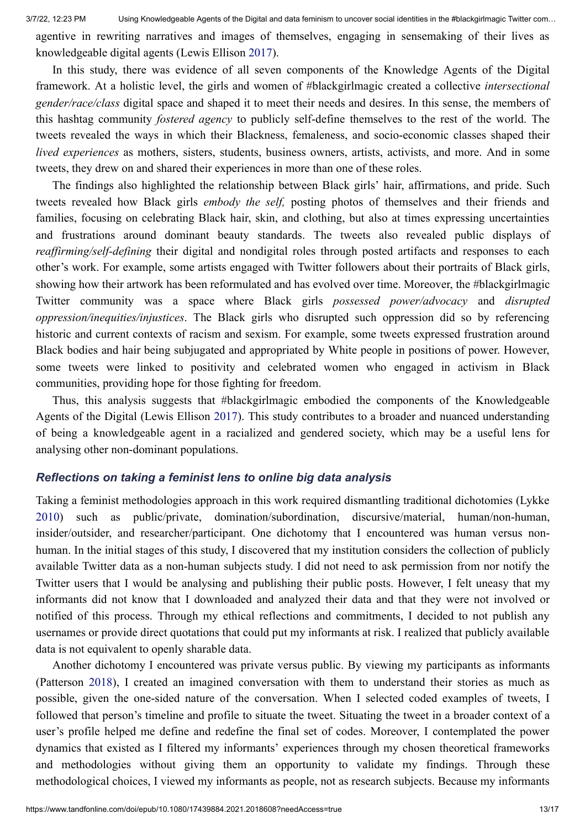agentive in rewriting narratives and images of themselves, engaging in sensemaking of their lives as knowledgeable digital agents (Lewis Ellison [2017\)](#page-16-0).

In this study, there was evidence of all seven components of the Knowledge Agents of the Digital framework. At a holistic level, the girls and women of #blackgirlmagic created a collective *intersectional gender/race/class* digital space and shaped it to meet their needs and desires. In this sense, the members of this hashtag community *fostered agency* to publicly self-define themselves to the rest of the world. The tweets revealed the ways in which their Blackness, femaleness, and socio-economic classes shaped their *lived experiences* as mothers, sisters, students, business owners, artists, activists, and more. And in some tweets, they drew on and shared their experiences in more than one of these roles.

The findings also highlighted the relationship between Black girls' hair, affirmations, and pride. Such tweets revealed how Black girls *embody the self,* posting photos of themselves and their friends and families, focusing on celebrating Black hair, skin, and clothing, but also at times expressing uncertainties and frustrations around dominant beauty standards. The tweets also revealed public displays of *reaffirming/self-defining* their digital and nondigital roles through posted artifacts and responses to each other's work. For example, some artists engaged with Twitter followers about their portraits of Black girls, showing how their artwork has been reformulated and has evolved over time. Moreover, the #blackgirlmagic Twitter community was a space where Black girls *possessed power/advocacy* and *disrupted oppression/inequities/injustices*. The Black girls who disrupted such oppression did so by referencing historic and current contexts of racism and sexism. For example, some tweets expressed frustration around Black bodies and hair being subjugated and appropriated by White people in positions of power. However, some tweets were linked to positivity and celebrated women who engaged in activism in Black communities, providing hope for those fighting for freedom.

Thus, this analysis suggests that #blackgirlmagic embodied the components of the Knowledgeable Agents of the Digital (Lewis Ellison [2017](#page-16-0)). This study contributes to a broader and nuanced understanding of being a knowledgeable agent in a racialized and gendered society, which may be a useful lens for analysing other non-dominant populations.

#### *Reflections on taking a feminist lens to online big data analysis*

Taking a feminist methodologies approach in this work required dismantling traditional dichotomies (Lykke [2010\)](#page-16-25) such as public/private, domination/subordination, discursive/material, human/non-human, insider/outsider, and researcher/participant. One dichotomy that I encountered was human versus nonhuman. In the initial stages of this study, I discovered that my institution considers the collection of publicly available Twitter data as a non-human subjects study. I did not need to ask permission from nor notify the Twitter users that I would be analysing and publishing their public posts. However, I felt uneasy that my informants did not know that I downloaded and analyzed their data and that they were not involved or notified of this process. Through my ethical reflections and commitments, I decided to not publish any usernames or provide direct quotations that could put my informants at risk. I realized that publicly available data is not equivalent to openly sharable data.

Another dichotomy I encountered was private versus public. By viewing my participants as informants (Patterson [2018\)](#page-16-18), I created an imagined conversation with them to understand their stories as much as possible, given the one-sided nature of the conversation. When I selected coded examples of tweets, I followed that person's timeline and profile to situate the tweet. Situating the tweet in a broader context of a user's profile helped me define and redefine the final set of codes. Moreover, I contemplated the power dynamics that existed as I filtered my informants' experiences through my chosen theoretical frameworks and methodologies without giving them an opportunity to validate my findings. Through these methodological choices, I viewed my informants as people, not as research subjects. Because my informants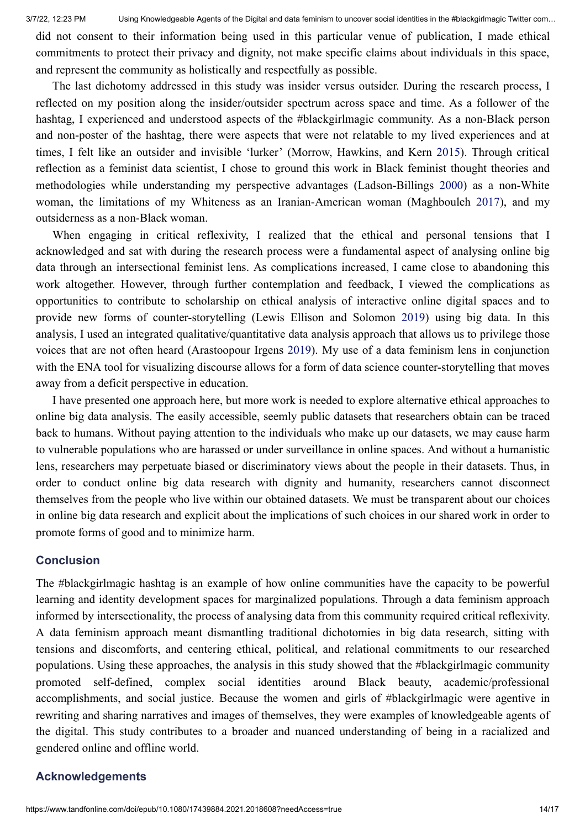did not consent to their information being used in this particular venue of publication, I made ethical commitments to protect their privacy and dignity, not make specific claims about individuals in this space, and represent the community as holistically and respectfully as possible.

The last dichotomy addressed in this study was insider versus outsider. During the research process, I reflected on my position along the insider/outsider spectrum across space and time. As a follower of the hashtag, I experienced and understood aspects of the #blackgirlmagic community. As a non-Black person and non-poster of the hashtag, there were aspects that were not relatable to my lived experiences and at times, I felt like an outsider and invisible 'lurker' (Morrow, Hawkins, and Kern [2015](#page-16-14)). Through critical reflection as a feminist data scientist, I chose to ground this work in Black feminist thought theories and methodologies while understanding my perspective advantages (Ladson-Billings [2000](#page-16-26)) as a non-White woman, the limitations of my Whiteness as an Iranian-American woman (Maghbouleh [2017](#page-16-20)), and my outsiderness as a non-Black woman.

When engaging in critical reflexivity, I realized that the ethical and personal tensions that I acknowledged and sat with during the research process were a fundamental aspect of analysing online big data through an intersectional feminist lens. As complications increased, I came close to abandoning this work altogether. However, through further contemplation and feedback, I viewed the complications as opportunities to contribute to scholarship on ethical analysis of interactive online digital spaces and to provide new forms of counter-storytelling (Lewis Ellison and Solomon [2019\)](#page-16-13) using big data. In this analysis, I used an integrated qualitative/quantitative data analysis approach that allows us to privilege those voices that are not often heard (Arastoopour Irgens [2019](#page-15-14)). My use of a data feminism lens in conjunction with the ENA tool for visualizing discourse allows for a form of data science counter-storytelling that moves away from a deficit perspective in education.

I have presented one approach here, but more work is needed to explore alternative ethical approaches to online big data analysis. The easily accessible, seemly public datasets that researchers obtain can be traced back to humans. Without paying attention to the individuals who make up our datasets, we may cause harm to vulnerable populations who are harassed or under surveillance in online spaces. And without a humanistic lens, researchers may perpetuate biased or discriminatory views about the people in their datasets. Thus, in order to conduct online big data research with dignity and humanity, researchers cannot disconnect themselves from the people who live within our obtained datasets. We must be transparent about our choices in online big data research and explicit about the implications of such choices in our shared work in order to promote forms of good and to minimize harm.

#### **Conclusion**

The #blackgirlmagic hashtag is an example of how online communities have the capacity to be powerful learning and identity development spaces for marginalized populations. Through a data feminism approach informed by intersectionality, the process of analysing data from this community required critical reflexivity. A data feminism approach meant dismantling traditional dichotomies in big data research, sitting with tensions and discomforts, and centering ethical, political, and relational commitments to our researched populations. Using these approaches, the analysis in this study showed that the #blackgirlmagic community promoted self-defined, complex social identities around Black beauty, academic/professional accomplishments, and social justice. Because the women and girls of #blackgirlmagic were agentive in rewriting and sharing narratives and images of themselves, they were examples of knowledgeable agents of the digital. This study contributes to a broader and nuanced understanding of being in a racialized and gendered online and offline world.

#### **Acknowledgements**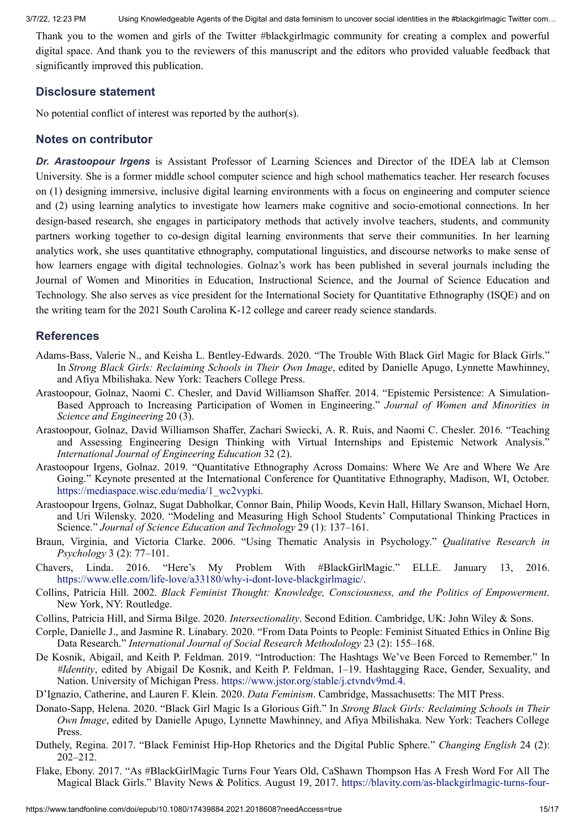Thank you to the women and girls of the Twitter #blackgirlmagic community for creating a complex and powerful digital space. And thank you to the reviewers of this manuscript and the editors who provided valuable feedback that significantly improved this publication.

#### **Disclosure statement**

No potential conflict of interest was reported by the author(s).

#### **Notes on contributor**

*Dr. Arastoopour Irgens* is Assistant Professor of Learning Sciences and Director of the IDEA lab at Clemson University. She is a former middle school computer science and high school mathematics teacher. Her research focuses on (1) designing immersive, inclusive digital learning environments with a focus on engineering and computer science and (2) using learning analytics to investigate how learners make cognitive and socio-emotional connections. In her design-based research, she engages in participatory methods that actively involve teachers, students, and community partners working together to co-design digital learning environments that serve their communities. In her learning analytics work, she uses quantitative ethnography, computational linguistics, and discourse networks to make sense of how learners engage with digital technologies. Golnaz's work has been published in several journals including the Journal of Women and Minorities in Education, Instructional Science, and the Journal of Science Education and Technology. She also serves as vice president for the International Society for Quantitative Ethnography (ISQE) and on the writing team for the 2021 South Carolina K-12 college and career ready science standards.

#### **References**

- <span id="page-15-4"></span>Adams-Bass, Valerie N., and Keisha L. Bentley-Edwards. 2020. "The Trouble With Black Girl Magic for Black Girls." In *Strong Black Girls: Reclaiming Schools in Their Own Image*, edited by Danielle Apugo, Lynnette Mawhinney, and Afiya Mbilishaka. New York: Teachers College Press.
- <span id="page-15-11"></span>Arastoopour, Golnaz, Naomi C. Chesler, and David Williamson Shaffer. 2014. "Epistemic Persistence: A Simulation-Based Approach to Increasing Participation of Women in Engineering." *Journal of Women and Minorities in Science and Engineering* 20 (3).
- <span id="page-15-12"></span>Arastoopour, Golnaz, David Williamson Shaffer, Zachari Swiecki, A. R. Ruis, and Naomi C. Chesler. 2016. "Teaching and Assessing Engineering Design Thinking with Virtual Internships and Epistemic Network Analysis." *International Journal of Engineering Education* 32 (2).
- <span id="page-15-14"></span>Arastoopour Irgens, Golnaz. 2019. "Quantitative Ethnography Across Domains: Where We Are and Where We Are Going." Keynote presented at the International Conference for Quantitative Ethnography, Madison, WI, October. [https://mediaspace.wisc.edu/media/1\\_wc2vypki](https://mediaspace.wisc.edu/media/1_wc2vypki).
- <span id="page-15-13"></span>Arastoopour Irgens, Golnaz, Sugat Dabholkar, Connor Bain, Philip Woods, Kevin Hall, Hillary Swanson, Michael Horn, and Uri Wilensky. 2020. "Modeling and Measuring High School Students' Computational Thinking Practices in Science." *Journal of Science Education and Technology* 29 (1): 137–161.
- <span id="page-15-10"></span>Braun, Virginia, and Victoria Clarke. 2006. "Using Thematic Analysis in Psychology." *Qualitative Research in Psychology* 3 (2): 77–101.
- <span id="page-15-3"></span>Chavers, Linda. 2016. "Here's My Problem With #BlackGirlMagic." ELLE. January 13, 2016. [https://www.elle.com/life-love/a33180/why-i-dont-love-blackgirlmagic/.](https://www.elle.com/life-love/a33180/why-i-dont-love-blackgirlmagic/)
- <span id="page-15-8"></span>Collins, Patricia Hill. 2002. *Black Feminist Thought: Knowledge, Consciousness, and the Politics of Empowerment*. New York, NY: Routledge.
- <span id="page-15-9"></span>Collins, Patricia Hill, and Sirma Bilge. 2020. *Intersectionality*. Second Edition. Cambridge, UK: John Wiley & Sons.
- <span id="page-15-0"></span>Corple, Danielle J., and Jasmine R. Linabary. 2020. "From Data Points to People: Feminist Situated Ethics in Online Big Data Research." *International Journal of Social Research Methodology* 23 (2): 155–168.
- <span id="page-15-6"></span>De Kosnik, Abigail, and Keith P. Feldman. 2019. "Introduction: The Hashtags We've Been Forced to Remember." In *#Identity*, edited by Abigail De Kosnik, and Keith P. Feldman, 1–19. Hashtagging Race, Gender, Sexuality, and Nation. University of Michigan Press. [https://www.jstor.org/stable/j.ctvndv9md.4.](https://www.jstor.org/stable/j.ctvndv9md.4)

<span id="page-15-1"></span>D'Ignazio, Catherine, and Lauren F. Klein. 2020. *Data Feminism*. Cambridge, Massachusetts: The MIT Press.

- <span id="page-15-5"></span>Donato-Sapp, Helena. 2020. "Black Girl Magic Is a Glorious Gift." In *Strong Black Girls: Reclaiming Schools in Their Own Image*, edited by Danielle Apugo, Lynnette Mawhinney, and Afiya Mbilishaka. New York: Teachers College Press.
- <span id="page-15-7"></span>Duthely, Regina. 2017. "Black Feminist Hip-Hop Rhetorics and the Digital Public Sphere." *Changing English* 24 (2): 202–212.
- <span id="page-15-2"></span>Flake, Ebony. 2017. "As #BlackGirlMagic Turns Four Years Old, CaShawn Thompson Has A Fresh Word For All The Magical Black Girls." Blavity News & Politics. August 19, 2017. [https://blavity.com/as-blackgirlmagic-turns-four-](https://blavity.com/as-blackgirlmagic-turns-four-years-old-cashawn-thompson-has-a-fresh-word-for-all-the-magical-black-girls)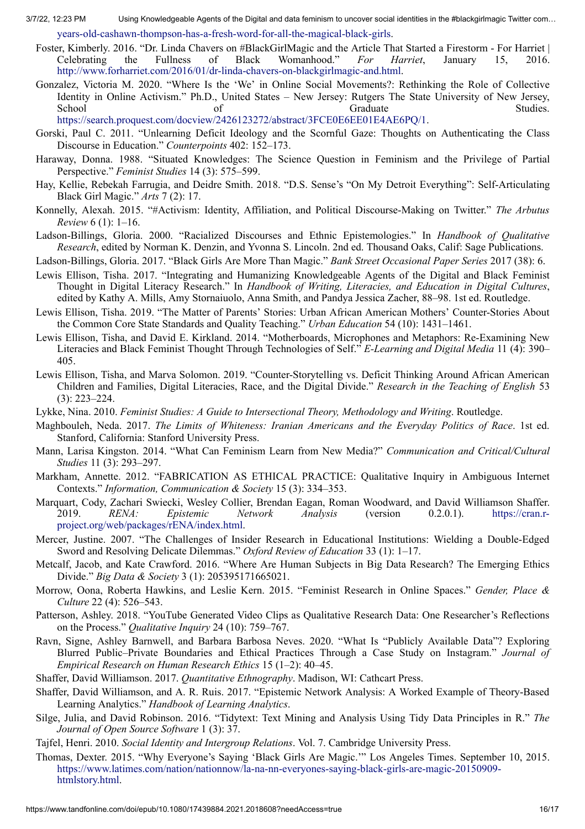3/7/22, 12:23 PM Using Knowledgeable Agents of the Digital and data feminism to uncover social identities in the #blackgirlmagic Twitter com…

[years-old-cashawn-thompson-has-a-fresh-word-for-all-the-magical-black-girls.](https://blavity.com/as-blackgirlmagic-turns-four-years-old-cashawn-thompson-has-a-fresh-word-for-all-the-magical-black-girls)

- <span id="page-16-4"></span>Foster, Kimberly. 2016. "Dr. Linda Chavers on #BlackGirlMagic and the Article That Started a Firestorm - For Harriet | Celebrating the Fullness of Black Womanhood." *For Harriet*, January 15, 2016. [http://www.forharriet.com/2016/01/dr-linda-chavers-on-blackgirlmagic-and.html.](http://www.forharriet.com/2016/01/dr-linda-chavers-on-blackgirlmagic-and.html)
- <span id="page-16-8"></span>Gonzalez, Victoria M. 2020. "Where Is the 'We' in Online Social Movements?: Rethinking the Role of Collective Identity in Online Activism." Ph.D., United States – New Jersey: Rutgers The State University of New Jersey, School of Graduate Studies. [https://search.proquest.com/docview/2426123272/abstract/3FCE0E6EE01E4AE6PQ/1.](https://search.proquest.com/docview/2426123272/abstract/3FCE0E6EE01E4AE6PQ/1)
- <span id="page-16-10"></span>Gorski, Paul C. 2011. "Unlearning Deficit Ideology and the Scornful Gaze: Thoughts on Authenticating the Class Discourse in Education." *Counterpoints* 402: 152–173.
- <span id="page-16-17"></span>Haraway, Donna. 1988. "Situated Knowledges: The Science Question in Feminism and the Privilege of Partial Perspective." *Feminist Studies* 14 (3): 575–599.
- <span id="page-16-6"></span>Hay, Kellie, Rebekah Farrugia, and Deidre Smith. 2018. "D.S. Sense's "On My Detroit Everything": Self-Articulating Black Girl Magic." *Arts* 7 (2): 17.
- <span id="page-16-9"></span>Konnelly, Alexah. 2015. "#Activism: Identity, Affiliation, and Political Discourse-Making on Twitter." *The Arbutus Review* 6 (1): 1–16.
- <span id="page-16-26"></span>Ladson-Billings, Gloria. 2000. "Racialized Discourses and Ethnic Epistemologies." In *Handbook of Qualitative Research*, edited by Norman K. Denzin, and Yvonna S. Lincoln. 2nd ed. Thousand Oaks, Calif: Sage Publications.
- <span id="page-16-5"></span>Ladson-Billings, Gloria. 2017. "Black Girls Are More Than Magic." *Bank Street Occasional Paper Series* 2017 (38): 6.
- <span id="page-16-0"></span>Lewis Ellison, Tisha. 2017. "Integrating and Humanizing Knowledgeable Agents of the Digital and Black Feminist Thought in Digital Literacy Research." In *Handbook of Writing, Literacies, and Education in Digital Cultures*, edited by Kathy A. Mills, Amy Stornaiuolo, Anna Smith, and Pandya Jessica Zacher, 88–98. 1st ed. Routledge.
- <span id="page-16-12"></span>Lewis Ellison, Tisha. 2019. "The Matter of Parents' Stories: Urban African American Mothers' Counter-Stories About the Common Core State Standards and Quality Teaching." *Urban Education* 54 (10): 1431–1461.
- <span id="page-16-11"></span>Lewis Ellison, Tisha, and David E. Kirkland. 2014. "Motherboards, Microphones and Metaphors: Re-Examining New Literacies and Black Feminist Thought Through Technologies of Self." *E-Learning and Digital Media* 11 (4): 390– 405.
- <span id="page-16-13"></span>Lewis Ellison, Tisha, and Marva Solomon. 2019. "Counter-Storytelling vs. Deficit Thinking Around African American Children and Families, Digital Literacies, Race, and the Digital Divide." *Research in the Teaching of English* 53 (3): 223–224.
- <span id="page-16-25"></span>Lykke, Nina. 2010. *Feminist Studies: A Guide to Intersectional Theory, Methodology and Writing*. Routledge.
- <span id="page-16-20"></span>Maghbouleh, Neda. 2017. *The Limits of Whiteness: Iranian Americans and the Everyday Politics of Race*. 1st ed. Stanford, California: Stanford University Press.
- <span id="page-16-1"></span>Mann, Larisa Kingston. 2014. "What Can Feminism Learn from New Media?" *Communication and Critical/Cultural Studies* 11 (3): 293–297.
- <span id="page-16-24"></span>Markham, Annette. 2012. "FABRICATION AS ETHICAL PRACTICE: Qualitative Inquiry in Ambiguous Internet Contexts." *Information, Communication & Society* 15 (3): 334–353.
- <span id="page-16-2"></span>Marquart, Cody, Zachari Swiecki, Wesley Collier, Brendan Eagan, Roman Woodward, and David Williamson Shaffer. 2019. *RENA: Epistemic Network Analysis* (version 0.2.0.1). https://cran.r[project.org/web/packages/rENA/index.html.](https://cran.r-project.org/web/packages/rENA/index.html)
- <span id="page-16-19"></span>Mercer, Justine. 2007. "The Challenges of Insider Research in Educational Institutions: Wielding a Double-Edged Sword and Resolving Delicate Dilemmas." *Oxford Review of Education* 33 (1): 1–17.
- <span id="page-16-15"></span>Metcalf, Jacob, and Kate Crawford. 2016. "Where Are Human Subjects in Big Data Research? The Emerging Ethics Divide." *Big Data & Society* 3 (1): 205395171665021.
- <span id="page-16-14"></span>Morrow, Oona, Roberta Hawkins, and Leslie Kern. 2015. "Feminist Research in Online Spaces." *Gender, Place & Culture* 22 (4): 526–543.
- <span id="page-16-18"></span>Patterson, Ashley. 2018. "YouTube Generated Video Clips as Qualitative Research Data: One Researcher's Reflections on the Process." *Qualitative Inquiry* 24 (10): 759–767.
- <span id="page-16-16"></span>Ravn, Signe, Ashley Barnwell, and Barbara Barbosa Neves. 2020. "What Is "Publicly Available Data"? Exploring Blurred Public–Private Boundaries and Ethical Practices Through a Case Study on Instagram." *Journal of Empirical Research on Human Research Ethics* 15 (1–2): 40–45.
- <span id="page-16-23"></span>Shaffer, David Williamson. 2017. *Quantitative Ethnography*. Madison, WI: Cathcart Press.
- <span id="page-16-22"></span>Shaffer, David Williamson, and A. R. Ruis. 2017. "Epistemic Network Analysis: A Worked Example of Theory-Based Learning Analytics." *Handbook of Learning Analytics*.
- <span id="page-16-21"></span>Silge, Julia, and David Robinson. 2016. "Tidytext: Text Mining and Analysis Using Tidy Data Principles in R." *The Journal of Open Source Software* 1 (3): 37.
- <span id="page-16-7"></span>Tajfel, Henri. 2010. *Social Identity and Intergroup Relations*. Vol. 7. Cambridge University Press.
- <span id="page-16-3"></span>Thomas, Dexter. 2015. "Why Everyone's Saying 'Black Girls Are Magic.'" Los Angeles Times. September 10, 2015. [https://www.latimes.com/nation/nationnow/la-na-nn-everyones-saying-black-girls-are-magic-20150909](https://www.latimes.com/nation/nationnow/la-na-nn-everyones-saying-black-girls-are-magic-20150909-htmlstory.html) htmlstory.html.